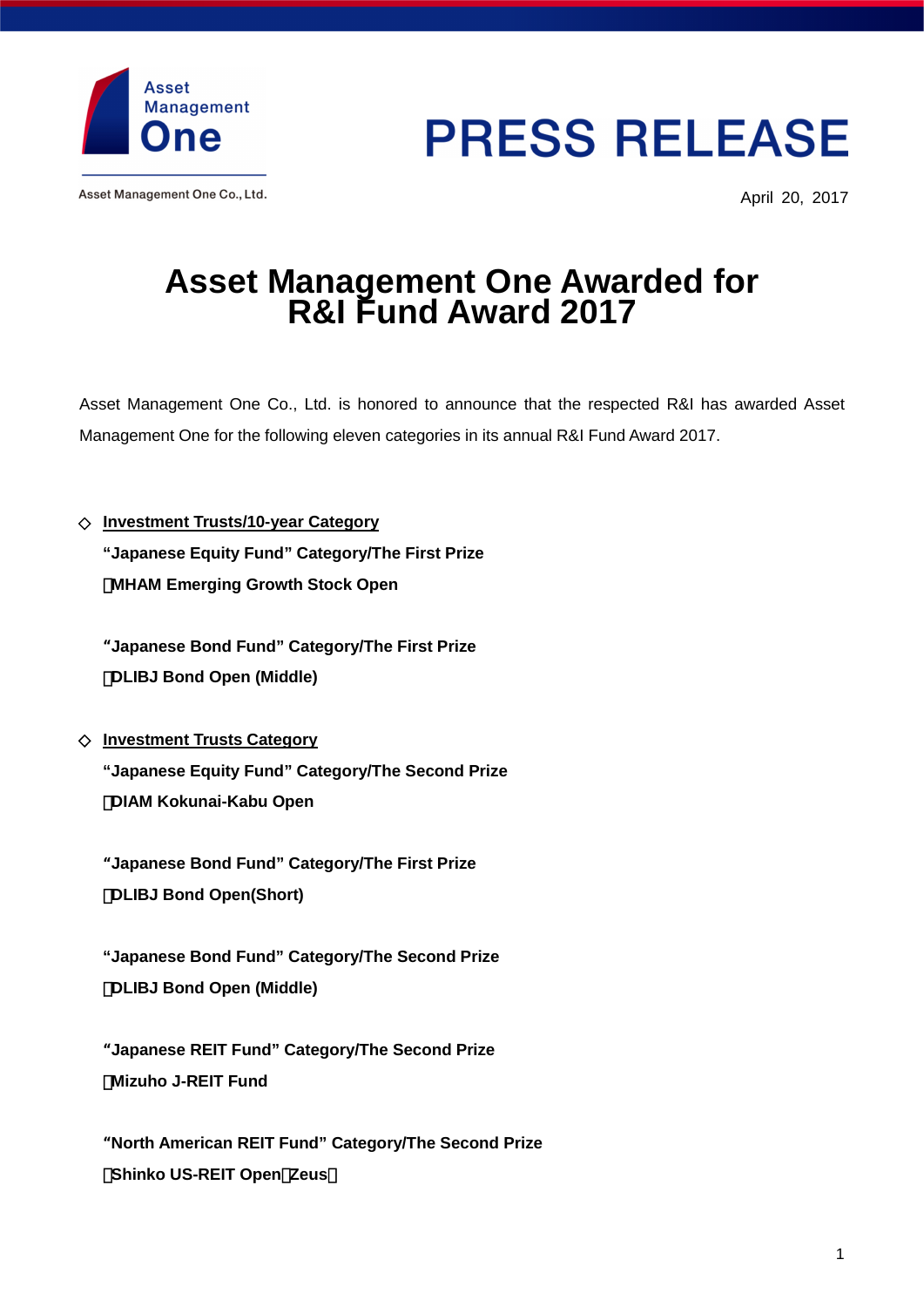

Asset Management One Co., Ltd.

## **PRESS RELEASE**

April 20, 2017

## **Asset Management One Awarded for R&I Fund Award 2017**

Asset Management One Co., Ltd. is honored to announce that the respected R&I has awarded Asset Management One for the following eleven categories in its annual R&I Fund Award 2017.

**Investment Trusts/10-year Category "Japanese Equity Fund" Category/The First Prize MHAM Emerging Growth Stock Open** 

"**Japanese Bond Fund" Category/The First Prize**  ・**DLIBJ Bond Open (Middle)** 

**Investment Trusts Category** 

**"Japanese Equity Fund" Category/The Second Prize**  ・**DIAM Kokunai-Kabu Open** 

"**Japanese Bond Fund" Category/The First Prize**  ・**DLIBJ Bond Open(Short)** 

 **"Japanese Bond Fund" Category/The Second Prize**  ・**DLIBJ Bond Open (Middle)** 

"**Japanese REIT Fund" Category/The Second Prize**  ・**Mizuho J-REIT Fund** 

"**North American REIT Fund" Category/The Second Prize Shinko US-REIT Open Zeus**